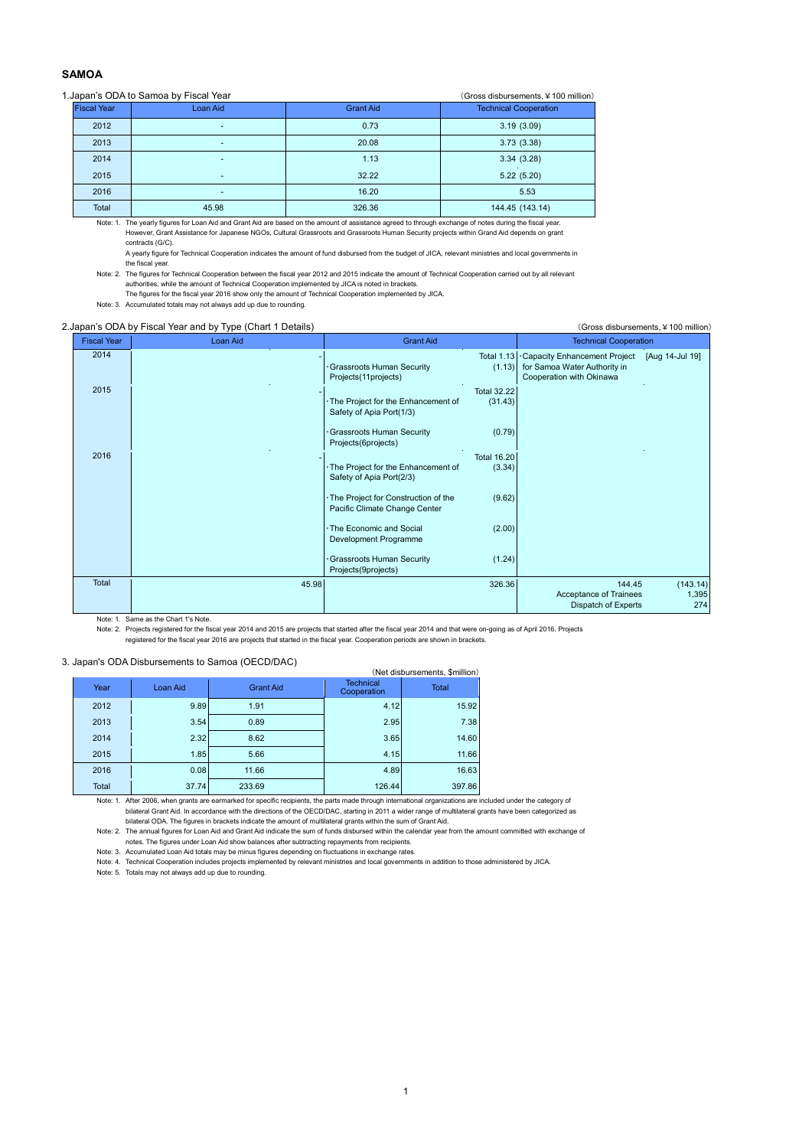# **SAMOA**

#### 1.Japan's ODA to Samoa by Fiscal Year (Gross disbursements,¥100 million)

| $\frac{1}{2}$<br>$\sqrt{21000}$ aloper borriorito, $\pm 100$ framony |                                |                          |                  |                              |  |  |  |  |  |
|----------------------------------------------------------------------|--------------------------------|--------------------------|------------------|------------------------------|--|--|--|--|--|
|                                                                      | <b>Fiscal Year</b><br>Loan Aid |                          | <b>Grant Aid</b> | <b>Technical Cooperation</b> |  |  |  |  |  |
|                                                                      | 2012                           | $\overline{\phantom{a}}$ | 0.73             | 3.19(3.09)                   |  |  |  |  |  |
|                                                                      | 2013                           | ۰                        | 20.08            | 3.73(3.38)                   |  |  |  |  |  |
|                                                                      | 2014                           | $\overline{\phantom{a}}$ | 1.13             | 3.34(3.28)                   |  |  |  |  |  |
|                                                                      | 2015                           | $\overline{\phantom{a}}$ | 32.22            | 5.22(5.20)                   |  |  |  |  |  |
|                                                                      | 2016                           | $\overline{\phantom{a}}$ | 16.20            | 5.53                         |  |  |  |  |  |
|                                                                      | Total                          | 45.98                    | 326.36           | 144.45 (143.14)              |  |  |  |  |  |

Note: 1. The yearly figures for Loan Aid and Grant Aid are based on the amount of assistance agreed to through exchange of notes during the fiscal year. However, Grant Assistance for Japanese NGOs, Cultural Grassroots and Grassroots Human Security projects within Grand Aid depends on grant contracts (G/C).

A yearly figure for Technical Cooperation indicates the amount of fund disbursed from the budget of JICA, relevant ministries and local governments in the fiscal year.

Note: 2. The figures for Technical Cooperation between the fiscal year 2012 and 2015 indicate the amount of Technical Cooperation carried out by all relevant authorities, while the amount of Technical Cooperation implemented by JICA is noted in brackets.

The figures for the fiscal year 2016 show only the amount of Technical Cooperation implemented by JICA.

Note: 3. Accumulated totals may not always add up due to rounding.

# 2.Japan's ODA by Fiscal Year and by Type (Chart 1 Details) (Gross disbursements, ¥100 million)

| <b>Fiscal Year</b> | Loan Aid | <b>Grant Aid</b>                                                                                | <b>Technical Cooperation</b>                                                                                |
|--------------------|----------|-------------------------------------------------------------------------------------------------|-------------------------------------------------------------------------------------------------------------|
| 2014               |          | <b>Total 1.13</b><br>Grassroots Human Security<br>(1.13)<br>Projects(11projects)                | Capacity Enhancement Project<br>[Aug 14-Jul 19]<br>for Samoa Water Authority in<br>Cooperation with Okinawa |
| 2015               |          | <b>Total 32.22</b><br>The Project for the Enhancement of<br>(31.43)<br>Safety of Apia Port(1/3) |                                                                                                             |
|                    |          | (0.79)<br>Grassroots Human Security<br>Projects(6projects)                                      |                                                                                                             |
| 2016               |          | <b>Total 16.20</b>                                                                              |                                                                                                             |
|                    |          | The Project for the Enhancement of<br>(3.34)<br>Safety of Apia Port(2/3)                        |                                                                                                             |
|                    |          | (9.62)<br>The Project for Construction of the<br>Pacific Climate Change Center                  |                                                                                                             |
|                    |          | (2.00)<br>The Economic and Social<br>Development Programme                                      |                                                                                                             |
|                    |          | (1.24)<br>Grassroots Human Security<br>Projects(9projects)                                      |                                                                                                             |
| Total              | 45.98    | 326.36                                                                                          | (143.14)<br>144.45<br>Acceptance of Trainees<br>1,395<br>274<br>Dispatch of Experts                         |

Note: 1. Same as the Chart 1's Note.

Note: 2. Projects registered for the fiscal year 2014 and 2015 are projects that started after the fiscal year 2014 and that were on-going as of April 2016. Projects

registered for the fiscal year 2016 are projects that started in the fiscal year. Cooperation periods are shown in brackets.

### 3. Japan's ODA Disbursements to Samoa (OECD/DAC)

| . Japan's ODA Dispuisements to Jamua (OLCD/DAC) |       |          |                  |                                 |              |  |  |  |  |  |  |
|-------------------------------------------------|-------|----------|------------------|---------------------------------|--------------|--|--|--|--|--|--|
| (Net disbursements, \$million)                  |       |          |                  |                                 |              |  |  |  |  |  |  |
|                                                 | Year  | Loan Aid | <b>Grant Aid</b> | <b>Technical</b><br>Cooperation | <b>Total</b> |  |  |  |  |  |  |
|                                                 | 2012  | 9.89     | 1.91             | 4.12                            | 15.92        |  |  |  |  |  |  |
|                                                 | 2013  | 3.54     | 0.89             | 2.95                            | 7.38         |  |  |  |  |  |  |
|                                                 | 2014  | 2.32     | 8.62             | 3.65                            | 14.60        |  |  |  |  |  |  |
|                                                 | 2015  | 1.85     | 5.66             | 4.15                            | 11.66        |  |  |  |  |  |  |
|                                                 | 2016  | 0.08     | 11.66            | 4.89                            | 16.63        |  |  |  |  |  |  |
|                                                 | Total | 37.74    | 233.69           | 126.44                          | 397.86       |  |  |  |  |  |  |

Note: 1. After 2006, when grants are earmarked for specific recipients, the parts made through international organizations are included under the category of bilateral Grant Aid. In accordance with the directions of the OECD/DAC, starting in 2011 a wider range of multilateral grants have been categorized as

bilateral ODA. The figures in brackets indicate the amount of multilateral grants within the sum of Grant Aid.<br>Note: 2. The annual figures for Loan Aid and Grant Aid indicate the sum of funds disbursed within the calendar notes. The figures under Loan Aid show balances after subtracting repayments from recipients.

Note: 3. Accumulated Loan Aid totals may be minus figures depending on fluctuations in exchange rates.

Note: 4. Technical Cooperation includes projects implemented by relevant ministries and local governments in addition to those administered by JICA.

Note: 5. Totals may not always add up due to rounding.